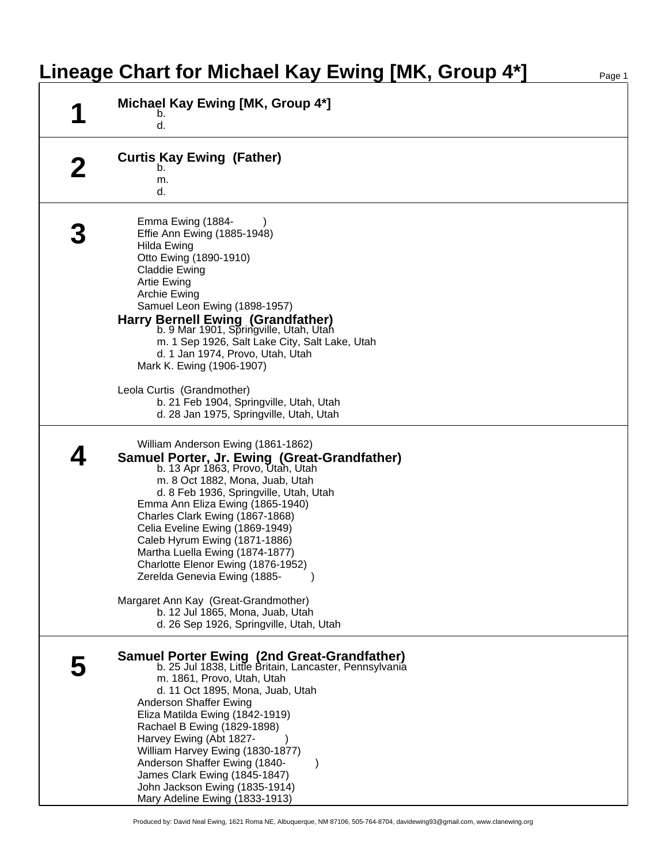## **Lineage Chart for Michael Kay Ewing [MK, Group 4\*]**

| И | Michael Kay Ewing [MK, Group 4*]<br>b.<br>d.                                                                                                                                                                                                                                                                                                                                                                                                                                                                                                                                    |
|---|---------------------------------------------------------------------------------------------------------------------------------------------------------------------------------------------------------------------------------------------------------------------------------------------------------------------------------------------------------------------------------------------------------------------------------------------------------------------------------------------------------------------------------------------------------------------------------|
|   | <b>Curtis Kay Ewing (Father)</b><br>b.<br>m.<br>d.                                                                                                                                                                                                                                                                                                                                                                                                                                                                                                                              |
|   | Emma Ewing (1884-<br>Effie Ann Ewing (1885-1948)<br>Hilda Ewing<br>Otto Ewing (1890-1910)<br><b>Claddie Ewing</b><br><b>Artie Ewing</b><br>Archie Ewing<br>Samuel Leon Ewing (1898-1957)<br>Harry Bernell Ewing (Grandfather)<br>b. 9 Mar 1901, Springville, Utah, Utah<br>m. 1 Sep 1926, Salt Lake City, Salt Lake, Utah<br>d. 1 Jan 1974, Provo, Utah, Utah<br>Mark K. Ewing (1906-1907)                                                                                                                                                                                      |
|   | Leola Curtis (Grandmother)<br>b. 21 Feb 1904, Springville, Utah, Utah<br>d. 28 Jan 1975, Springville, Utah, Utah                                                                                                                                                                                                                                                                                                                                                                                                                                                                |
|   | William Anderson Ewing (1861-1862)<br>Samuel Porter, Jr. Ewing (Great-Grandfather)<br>b. 13 Apr 1863, Provo, Utah, Utah<br>m. 8 Oct 1882, Mona, Juab, Utah<br>d. 8 Feb 1936, Springville, Utah, Utah<br>Emma Ann Eliza Ewing (1865-1940)<br>Charles Clark Ewing (1867-1868)<br>Celia Eveline Ewing (1869-1949)<br>Caleb Hyrum Ewing (1871-1886)<br>Martha Luella Ewing (1874-1877)<br>Charlotte Elenor Ewing (1876-1952)<br>Zerelda Genevia Ewing (1885-<br>Margaret Ann Kay (Great-Grandmother)<br>b. 12 Jul 1865, Mona, Juab, Utah<br>d. 26 Sep 1926, Springville, Utah, Utah |
|   | <b>Samuel Porter Ewing (2nd Great-Grandfather)</b><br>b. 25 Jul 1838, Little Britain, Lancaster, Pennsylvania<br>m. 1861, Provo, Utah, Utah<br>d. 11 Oct 1895, Mona, Juab, Utah<br>Anderson Shaffer Ewing<br>Eliza Matilda Ewing (1842-1919)<br>Rachael B Ewing (1829-1898)<br>Harvey Ewing (Abt 1827-<br>William Harvey Ewing (1830-1877)<br>Anderson Shaffer Ewing (1840-<br>James Clark Ewing (1845-1847)<br>John Jackson Ewing (1835-1914)<br>Mary Adeline Ewing (1833-1913)                                                                                                |